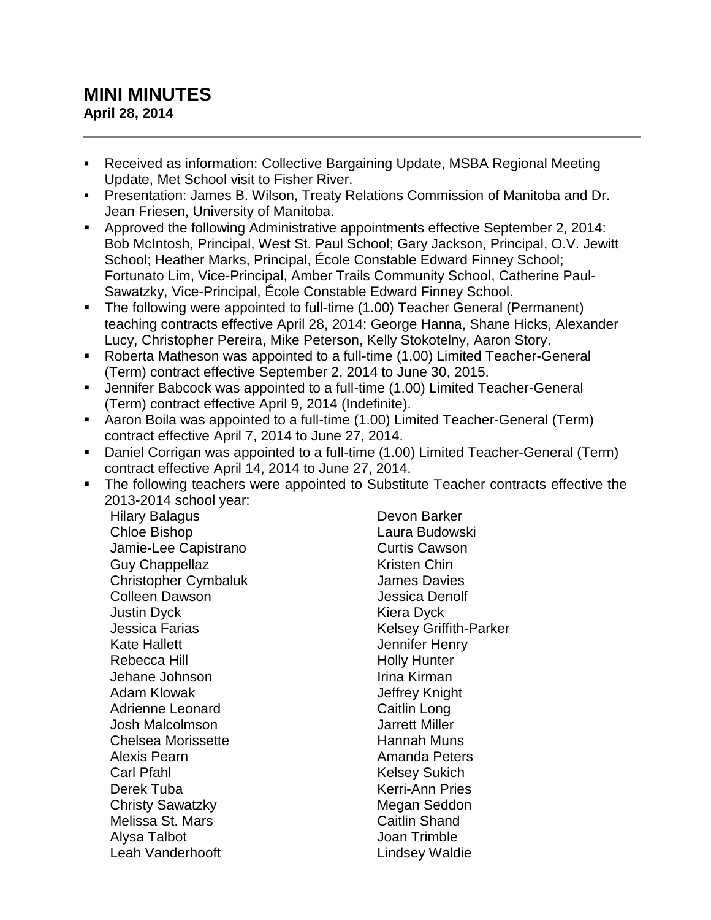## **MINI MINUTES April 28, 2014**

- Received as information: Collective Bargaining Update, MSBA Regional Meeting Update, Met School visit to Fisher River.
- Presentation: James B. Wilson, Treaty Relations Commission of Manitoba and Dr. Jean Friesen, University of Manitoba.
- **Approved the following Administrative appointments effective September 2, 2014:** Bob McIntosh, Principal, West St. Paul School; Gary Jackson, Principal, O.V. Jewitt School; Heather Marks, Principal, École Constable Edward Finney School; Fortunato Lim, Vice-Principal, Amber Trails Community School, Catherine Paul-Sawatzky, Vice-Principal, École Constable Edward Finney School.
- The following were appointed to full-time (1.00) Teacher General (Permanent) teaching contracts effective April 28, 2014: George Hanna, Shane Hicks, Alexander Lucy, Christopher Pereira, Mike Peterson, Kelly Stokotelny, Aaron Story.
- Roberta Matheson was appointed to a full-time (1.00) Limited Teacher-General (Term) contract effective September 2, 2014 to June 30, 2015.
- Jennifer Babcock was appointed to a full-time (1.00) Limited Teacher-General (Term) contract effective April 9, 2014 (Indefinite).
- Aaron Boila was appointed to a full-time (1.00) Limited Teacher-General (Term) contract effective April 7, 2014 to June 27, 2014.
- Daniel Corrigan was appointed to a full-time (1.00) Limited Teacher-General (Term) contract effective April 14, 2014 to June 27, 2014.
- The following teachers were appointed to Substitute Teacher contracts effective the 2013-2014 school year:

Hilary Balagus **Devon Barker** Chloe Bishop Laura Budowski Jamie-Lee Capistrano **Curtis Cawson** Guy Chappellaz **Kristen Chin** Christopher Cymbaluk James Davies Colleen Dawson Jessica Denolf Justin Dyck **Kiera Dyck** Kiera Dyck Jessica Farias **Kelsey Griffith-Parker** Kate Hallett **Guide Constructs** Jennifer Henry Rebecca Hill **Holly Hunter** Holly Hunter Jehane Johnson **Irina Kirman** Adam Klowak **Jeffrey Knight** Adrienne Leonard Caitlin Long Josh Malcolmson Jarrett Miller Chelsea Morissette **Hannah Muns** Alexis Pearn **Amanda Peters** Carl Pfahl **Kelsey Sukich** Kelsey Sukich Derek Tuba Kerri-Ann Pries Christy Sawatzky **Megan** Seddon Melissa St. Mars Caitlin Shand Alysa Talbot Joan Trimble Leah Vanderhooft **Lindsey Waldie**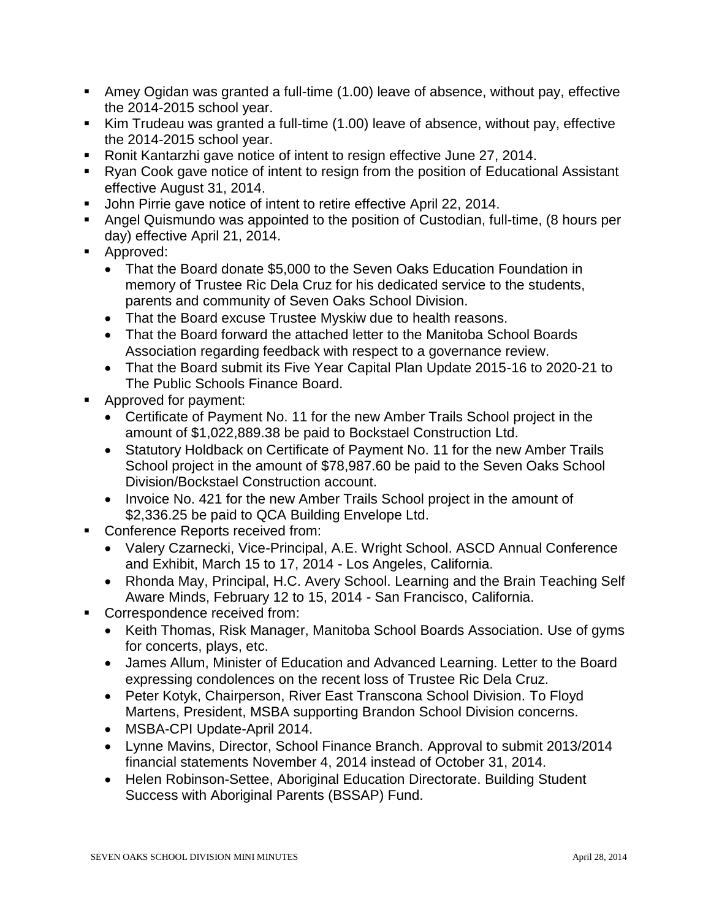- Amey Ogidan was granted a full-time (1.00) leave of absence, without pay, effective the 2014-2015 school year.
- Kim Trudeau was granted a full-time (1.00) leave of absence, without pay, effective the 2014-2015 school year.
- Ronit Kantarzhi gave notice of intent to resign effective June 27, 2014.
- Ryan Cook gave notice of intent to resign from the position of Educational Assistant effective August 31, 2014.
- **John Pirrie gave notice of intent to retire effective April 22, 2014.**
- Angel Quismundo was appointed to the position of Custodian, full-time, (8 hours per day) effective April 21, 2014.
- **Approved:** 
	- That the Board donate \$5,000 to the Seven Oaks Education Foundation in memory of Trustee Ric Dela Cruz for his dedicated service to the students, parents and community of Seven Oaks School Division.
	- That the Board excuse Trustee Myskiw due to health reasons.
	- That the Board forward the attached letter to the Manitoba School Boards Association regarding feedback with respect to a governance review.
	- That the Board submit its Five Year Capital Plan Update 2015-16 to 2020-21 to The Public Schools Finance Board.
- **Approved for payment:** 
	- Certificate of Payment No. 11 for the new Amber Trails School project in the amount of \$1,022,889.38 be paid to Bockstael Construction Ltd.
	- Statutory Holdback on Certificate of Payment No. 11 for the new Amber Trails School project in the amount of \$78,987.60 be paid to the Seven Oaks School Division/Bockstael Construction account.
	- Invoice No. 421 for the new Amber Trails School project in the amount of \$2,336.25 be paid to QCA Building Envelope Ltd.
- **Conference Reports received from:** 
	- Valery Czarnecki, Vice-Principal, A.E. Wright School. ASCD Annual Conference and Exhibit, March 15 to 17, 2014 - Los Angeles, California.
	- Rhonda May, Principal, H.C. Avery School. Learning and the Brain Teaching Self Aware Minds, February 12 to 15, 2014 - San Francisco, California.
- Correspondence received from:
	- Keith Thomas, Risk Manager, Manitoba School Boards Association. Use of gyms for concerts, plays, etc.
	- James Allum, Minister of Education and Advanced Learning. Letter to the Board expressing condolences on the recent loss of Trustee Ric Dela Cruz.
	- Peter Kotyk, Chairperson, River East Transcona School Division. To Floyd Martens, President, MSBA supporting Brandon School Division concerns.
	- MSBA-CPI Update-April 2014.
	- Lynne Mavins, Director, School Finance Branch. Approval to submit 2013/2014 financial statements November 4, 2014 instead of October 31, 2014.
	- Helen Robinson-Settee, Aboriginal Education Directorate. Building Student Success with Aboriginal Parents (BSSAP) Fund.